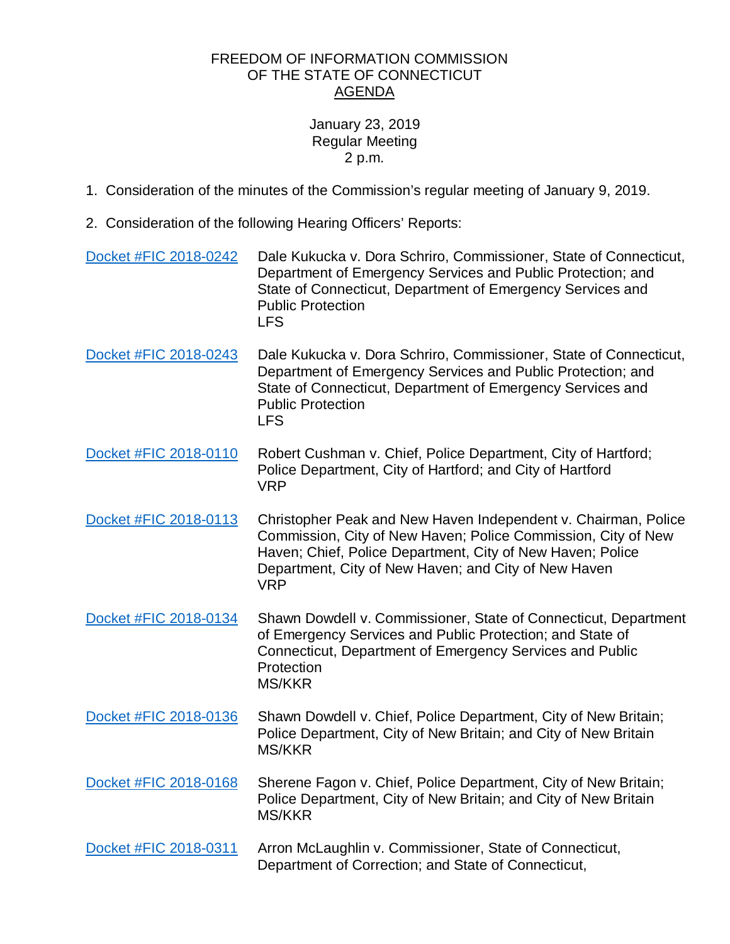## FREEDOM OF INFORMATION COMMISSION OF THE STATE OF CONNECTICUT AGENDA

## January 23, 2019 Regular Meeting 2 p.m.

- 1. Consideration of the minutes of the Commission's regular meeting of January 9, 2019.
- 2. Consideration of the following Hearing Officers' Reports:

| Docket #FIC 2018-0242 | Dale Kukucka v. Dora Schriro, Commissioner, State of Connecticut,<br>Department of Emergency Services and Public Protection; and<br>State of Connecticut, Department of Emergency Services and<br><b>Public Protection</b><br><b>LFS</b>                            |
|-----------------------|---------------------------------------------------------------------------------------------------------------------------------------------------------------------------------------------------------------------------------------------------------------------|
| Docket #FIC 2018-0243 | Dale Kukucka v. Dora Schriro, Commissioner, State of Connecticut,<br>Department of Emergency Services and Public Protection; and<br>State of Connecticut, Department of Emergency Services and<br><b>Public Protection</b><br><b>LFS</b>                            |
| Docket #FIC 2018-0110 | Robert Cushman v. Chief, Police Department, City of Hartford;<br>Police Department, City of Hartford; and City of Hartford<br><b>VRP</b>                                                                                                                            |
| Docket #FIC 2018-0113 | Christopher Peak and New Haven Independent v. Chairman, Police<br>Commission, City of New Haven; Police Commission, City of New<br>Haven; Chief, Police Department, City of New Haven; Police<br>Department, City of New Haven; and City of New Haven<br><b>VRP</b> |
| Docket #FIC 2018-0134 | Shawn Dowdell v. Commissioner, State of Connecticut, Department<br>of Emergency Services and Public Protection; and State of<br>Connecticut, Department of Emergency Services and Public<br>Protection<br><b>MS/KKR</b>                                             |
| Docket #FIC 2018-0136 | Shawn Dowdell v. Chief, Police Department, City of New Britain;<br>Police Department, City of New Britain; and City of New Britain<br><b>MS/KKR</b>                                                                                                                 |
| Docket #FIC 2018-0168 | Sherene Fagon v. Chief, Police Department, City of New Britain;<br>Police Department, City of New Britain; and City of New Britain<br><b>MS/KKR</b>                                                                                                                 |
| Docket #FIC 2018-0311 | Arron McLaughlin v. Commissioner, State of Connecticut,<br>Department of Correction; and State of Connecticut,                                                                                                                                                      |